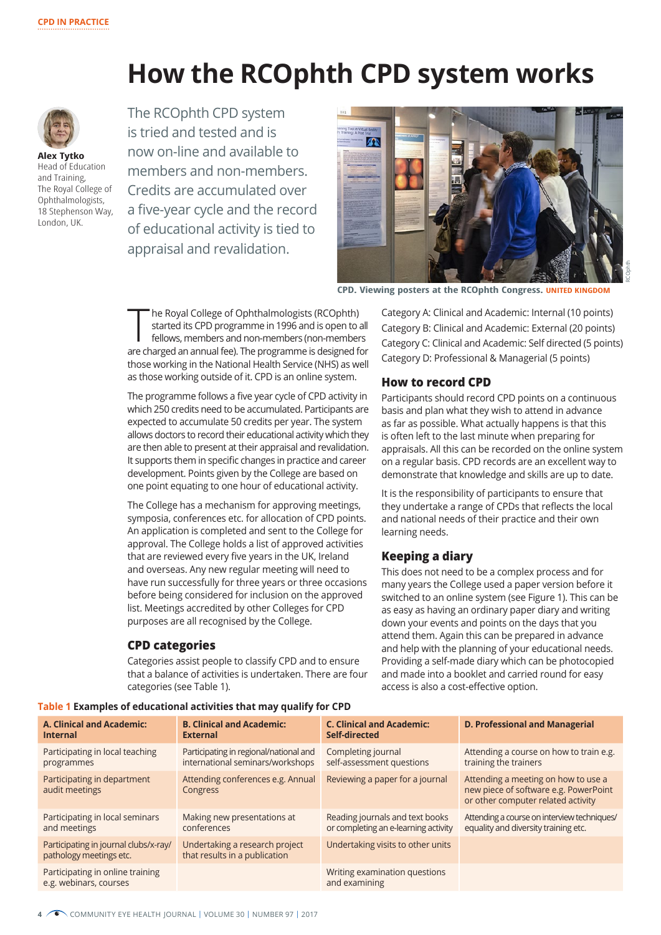# **How the RCOphth CPD system works**



**Alex Tytko** Head of Education and Training, The Royal College of Ophthalmologists, 18 Stephenson Way, London, UK.

The RCOphth CPD system is tried and tested and is now on-line and available to members and non-members. Credits are accumulated over a five-year cycle and the record of educational activity is tied to appraisal and revalidation.



**CPD. Viewing posters at the RCOphth Congress. UNITED KINGDOM**

he Royal College of Ophthalmologists (RCOphth) started its CPD programme in 1996 and is open to all fellows, members and non-members (non-members are charged an annual fee). The programme is designed for those working in the National Health Service (NHS) as well as those working outside of it. CPD is an online system.

The programme follows a five year cycle of CPD activity in which 250 credits need to be accumulated. Participants are expected to accumulate 50 credits per year. The system allows doctors to record their educational activity which they are then able to present at their appraisal and revalidation. It supports them in specific changes in practice and career development. Points given by the College are based on one point equating to one hour of educational activity.

The College has a mechanism for approving meetings, symposia, conferences etc. for allocation of CPD points. An application is completed and sent to the College for approval. The College holds a list of approved activities that are reviewed every five years in the UK, Ireland and overseas. Any new regular meeting will need to have run successfully for three years or three occasions before being considered for inclusion on the approved list. Meetings accredited by other Colleges for CPD purposes are all recognised by the College.

## **CPD categories**

Categories assist people to classify CPD and to ensure that a balance of activities is undertaken. There are four categories (see Table 1).

Category A: Clinical and Academic: Internal (10 points) Category B: Clinical and Academic: External (20 points) Category C: Clinical and Academic: Self directed (5 points) Category D: Professional & Managerial (5 points)

# **How to record CPD**

Participants should record CPD points on a continuous basis and plan what they wish to attend in advance as far as possible. What actually happens is that this is often left to the last minute when preparing for appraisals. All this can be recorded on the online system on a regular basis. CPD records are an excellent way to demonstrate that knowledge and skills are up to date.

It is the responsibility of participants to ensure that they undertake a range of CPDs that reflects the local and national needs of their practice and their own learning needs.

# **Keeping a diary**

This does not need to be a complex process and for many years the College used a paper version before it switched to an online system (see Figure 1). This can be as easy as having an ordinary paper diary and writing down your events and points on the days that you attend them. Again this can be prepared in advance and help with the planning of your educational needs. Providing a self-made diary which can be photocopied and made into a booklet and carried round for easy access is also a cost-effective option.

| A. Clinical and Academic:<br><b>Internal</b>                     | <b>B. Clinical and Academic:</b><br><b>External</b>                        | <b>C. Clinical and Academic:</b><br>Self-directed                       | <b>D. Professional and Managerial</b>                                                                              |
|------------------------------------------------------------------|----------------------------------------------------------------------------|-------------------------------------------------------------------------|--------------------------------------------------------------------------------------------------------------------|
| Participating in local teaching<br>programmes                    | Participating in regional/national and<br>international seminars/workshops | Completing journal<br>self-assessment questions                         | Attending a course on how to train e.g.<br>training the trainers                                                   |
| Participating in department<br>audit meetings                    | Attending conferences e.g. Annual<br>Congress                              | Reviewing a paper for a journal                                         | Attending a meeting on how to use a<br>new piece of software e.g. PowerPoint<br>or other computer related activity |
| Participating in local seminars<br>and meetings                  | Making new presentations at<br>conferences                                 | Reading journals and text books<br>or completing an e-learning activity | Attending a course on interview techniques/<br>equality and diversity training etc.                                |
| Participating in journal clubs/x-ray/<br>pathology meetings etc. | Undertaking a research project<br>that results in a publication            | Undertaking visits to other units                                       |                                                                                                                    |
| Participating in online training<br>e.g. webinars, courses       |                                                                            | Writing examination questions<br>and examining                          |                                                                                                                    |

**Table 1 Examples of educational activities that may qualify for CPD**